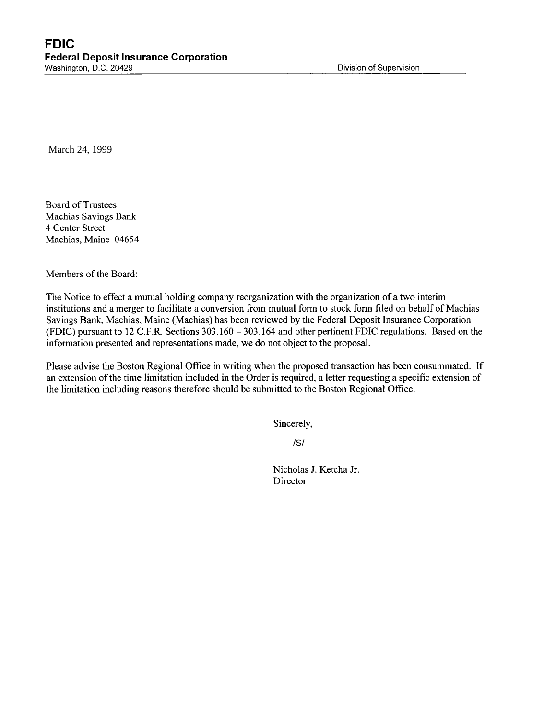Board of Trustees Machias Savings Bank 4 Center Street Machias, Maine *04654* 

Members of the Board:

The Notice to effect a mutual holding company reorganization with the organization of a two interim institutions and a merger to facilitate a conversion from mutual form to stock form filed on behalf of Machias Savings Bank, Machias, Maine (Machias) has been reviewed by the Federal Deposit Insurance Corporation (FDIC) pursuant to 12 C.F.R. Sections 303.160 - 303.164 and other pertinent FDIC regulations. Based on the information presented and representations made, we do not object to the proposal. March 24, 1999<br>
March 24, 1999<br>
Maddinas Savings Bank<br>
Machias, Maine 04654<br>
Members of the Board:<br>
Members of the Board:<br>
The Notice to effect a mutual holding company reorganization wi<br>
nstitutions and a merger to facili

Please advise the Boston Regional Office in writing when the proposed transaction has been consummated. If an extension of the time limitation included in the Order is required, a letter requesting a specific extension of the limitation including reasons therefore should be submitted to the Boston Regional Office.

Sincerely,

Nicholas J. Ketcha Jr. **Director**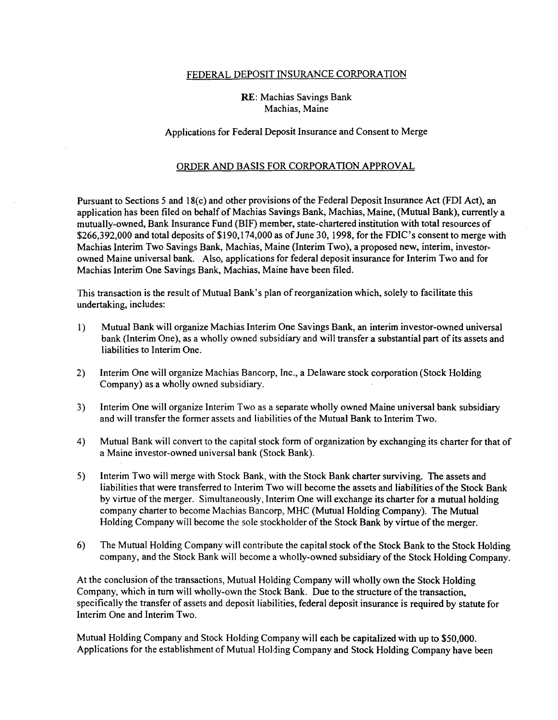## FEDERAL DEPOSIT INSURANCE CORPORATION

## RE: Machias Savings Bank Machias, Maine

## Applications for Federal Deposit Insurance and Consent to Merge

## ORDER AND BASIS FOR CORPORATION APPROVAL

Pursuant to Sections 5 and 18(c) and other provisions of the Federal Deposit Insurance Act (FDI Act), an application has been filed on behalf of Machias Savings Bank, Machias, Maine, (Mutual Bank), currently a mutually-owned, Bank Insurance Fund (BIF) member, state-chartered institution with total resources of  $$266,392,000$  and total deposits of  $$190,174,000$  as of June 30, 1998, for the FDIC's consent to merge with Machias Interim Two Savings Bank, Machias, Maine (Interim Two), a proposed new, interim, investorowned Maine universal bank. Also, applications for federal deposit insurance for Interim Two and for Machias Interim One Savings Bank, Machias, Maine have been filed.

This transaction is the result of Mutual Bank's plan of reorganization which, solely to facilitate this undertaking, includes:

- 1) Mutual Bank will organize Machias Interim One Savings Bank, an interim investor-owned universal bank (Interim One), as a wholly owned subsidiary and will transfer a substantial part of its assets and liabilities to Interim One.
- 2) Interim One will organize Machias Bancorp, Inc., a Delaware stock corporation (Stock Holding Company) as a wholly owned subsidiary.
- 3) Interim One will organize Interim Two as a separate wholly owned Maine universal bank subsidiary and will transfer the former assets and liabilities of the Mutual Bank to Interim Two.
- 4) Mutual Bank will convert to the capital stock form of organization by exchanging its charter for that of a Maine investor-owned universal bank (Stock Bank).
- 5) Interim Two will merge with Stock Bank, with the Stock Bank charter surviving. The assets and liabilities that were transferred to Interim Two will become the assets and liabilities of the Stock Bank by virtue of the merger. Simultaneously, Interim One will exchange its charter for a mutual holding company charter to become Machias Bancorp, MHC (Mutual Holding Company). The Mutual Holding Company will become the sole stockholder of the Stock Bank by virtue of the merger.
- 6) The Mutual Holding Company will contribute the capital stock ofthe Stock Bank to the Stock Holding company, and the Stock Bank will become a wholly-owned subsidiary ofthe Stock Holding Company.

At the conclusion of the transactions, Mutual Holding Company will wholly own the Stock Holding Company, which in turn will wholly-own the Stock Bank. Due to the structure of the transaction, specifically the transfer of assets and deposit liabilities, federal deposit insurance is required by statute for Interim One and Interim Two.

Mutual Holding Company and Stock Holding Company will each be capitalized with up to \$50,000. Applications for the establishment of Mutual Holding Company and Stock Holding Company have been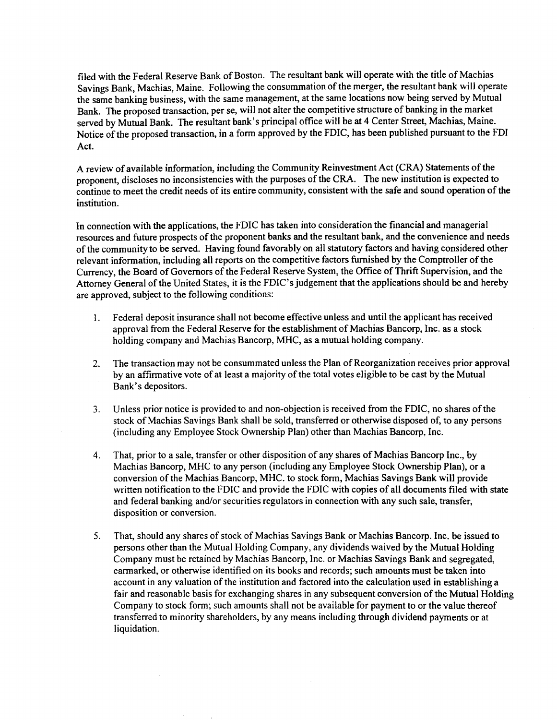filed with the Federal Reserve Bank of Boston. The resultant bank will operate with the title of Machias Savings Bank, Machias, Maine. Following the consummation of the merger, the resultant bank will operate the same banking business, with the same management, at the same locations now being served by Mutual Bank. The proposed transaction, per se, will not alter the competitive structure of banking in the market served by Mutual Bank. The resultant bank's principal office will be at 4 Center Street, Machias, Maine. Notice of the proposed transaction, in a form approved by the FDIC, has been published pursuant to the FDJ Act.

A review of available information, including the Community Reinvestment Act (CRA) Statements of the proponent, discloses no inconsistencies with the purposes of the CRA. The new institution is expected to continue to meet the credit needs of its entire community, consistent with the safe and sound operation of the institution.

In connection with the applications, the FDIC has taken into consideration the financial and managerial resources and future prospects of the proponent banks and the resultant bank, and the convenience and needs of the community to be served. Having found favorably on all statutory factors and having considered other relevant information, including all reports on the competitive factors furnished by the Comptroller of the Currency, the Board of Governors of the Federal Reserve System, the Office of Thrift Supervision, and the Attorney General of the United States, it is the FDIC's judgement that the applications should be and hereby are approved, subject to the following conditions:

- 1. Federal deposit insurance shall not become effective unless and until the applicant has received approval from the Federal Reserve for the establishment of Machias Bancorp, Inc. as a stock holding company and Machias Bancorp, MHC, as a mutual holding company.
- 2. The transaction may not be consummated unless the Plan of Reorganization receives prior approval by an affirmative vote of at least a majority of the total votes eligible to be cast by the Mutual Bank's depositors.
- 3. Unless prior notice is provided to and non-objection is received from the FDIC, no shares of the stock of Machias Savings Bank shall be sold, transferred or otherwise disposed of, to any persons (including any Employee Stock Ownership Plan) other than Machias Bancorp, Inc.
- 4. That, prior to a sale, transfer or other disposition of any shares of Machias Bancorp Inc., by Machias Bancorp, MHC to any person (including any Employee Stock Ownership Plan), or a conversion of the Machias Bancorp, MHC. to stock form, Machias Savings Bank will provide written notification to the FDIC and provide the FDIC with copies of all documents filed with state and federal banking and/or securities regulators in connection with any such sale, transfer, disposition or conversion.
- 5. That, should any shares of stock of Machias Savings Bank or Machias Bancorp. Inc. be issued to persons other than the Mutual Holding Company, any dividends waived by the Mutual Holding Company must be retained by Machias Bancorp, Inc. or Machias Savings Bank and segregated, earmarked, or otherwise identified on its books and records; such amounts must be taken into account in any valuation of the institution and factored into the calculation used in establishing a fair and reasonable basis for exchanging shares in any subsequent conversion of the Mutual Holding Company to stock form; such amounts shall not be available for payment to or the value thereof transferred to minority shareholders, by any means including through dividend payments or at liquidation.